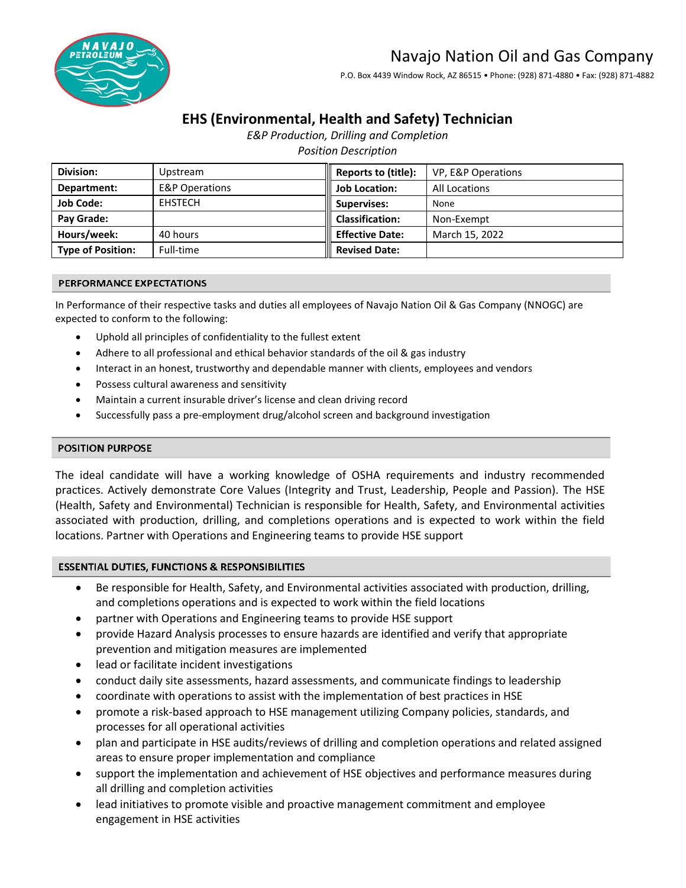# Navajo Nation Oil and Gas Company



# P.O. Box 4439 Window Rock, AZ 86515 • Phone: (928) 871-4880 • Fax: (928) 871-4882

# **EHS (Environmental, Health and Safety) Technician**

*E&P Production, Drilling and Completion*

*Position Description*

| Division:                | Upstream                  | Reports to (title):         | VP, E&P Operations   |
|--------------------------|---------------------------|-----------------------------|----------------------|
| Department:              | <b>E&amp;P Operations</b> | <b>Job Location:</b>        | <b>All Locations</b> |
| <b>Job Code:</b>         | <b>EHSTECH</b>            | <b>Supervises:</b>          | None                 |
| Pay Grade:               |                           | $\parallel$ Classification: | Non-Exempt           |
| Hours/week:              | 40 hours                  | <b>Effective Date:</b>      | March 15, 2022       |
| <b>Type of Position:</b> | Full-time                 | <b>Revised Date:</b>        |                      |

#### PERFORMANCE EXPECTATIONS

In Performance of their respective tasks and duties all employees of Navajo Nation Oil & Gas Company (NNOGC) are expected to conform to the following:

- Uphold all principles of confidentiality to the fullest extent
- Adhere to all professional and ethical behavior standards of the oil & gas industry
- Interact in an honest, trustworthy and dependable manner with clients, employees and vendors
- Possess cultural awareness and sensitivity
- Maintain a current insurable driver's license and clean driving record
- Successfully pass a pre-employment drug/alcohol screen and background investigation

#### **POSITION PURPOSE**

The ideal candidate will have a working knowledge of OSHA requirements and industry recommended practices. Actively demonstrate Core Values (Integrity and Trust, Leadership, People and Passion). The HSE (Health, Safety and Environmental) Technician is responsible for Health, Safety, and Environmental activities associated with production, drilling, and completions operations and is expected to work within the field locations. Partner with Operations and Engineering teams to provide HSE support

# **ESSENTIAL DUTIES, FUNCTIONS & RESPONSIBILITIES**

- Be responsible for Health, Safety, and Environmental activities associated with production, drilling, and completions operations and is expected to work within the field locations
- partner with Operations and Engineering teams to provide HSE support
- provide Hazard Analysis processes to ensure hazards are identified and verify that appropriate prevention and mitigation measures are implemented
- lead or facilitate incident investigations
- conduct daily site assessments, hazard assessments, and communicate findings to leadership
- coordinate with operations to assist with the implementation of best practices in HSE
- promote a risk-based approach to HSE management utilizing Company policies, standards, and processes for all operational activities
- plan and participate in HSE audits/reviews of drilling and completion operations and related assigned areas to ensure proper implementation and compliance
- support the implementation and achievement of HSE objectives and performance measures during all drilling and completion activities
- lead initiatives to promote visible and proactive management commitment and employee engagement in HSE activities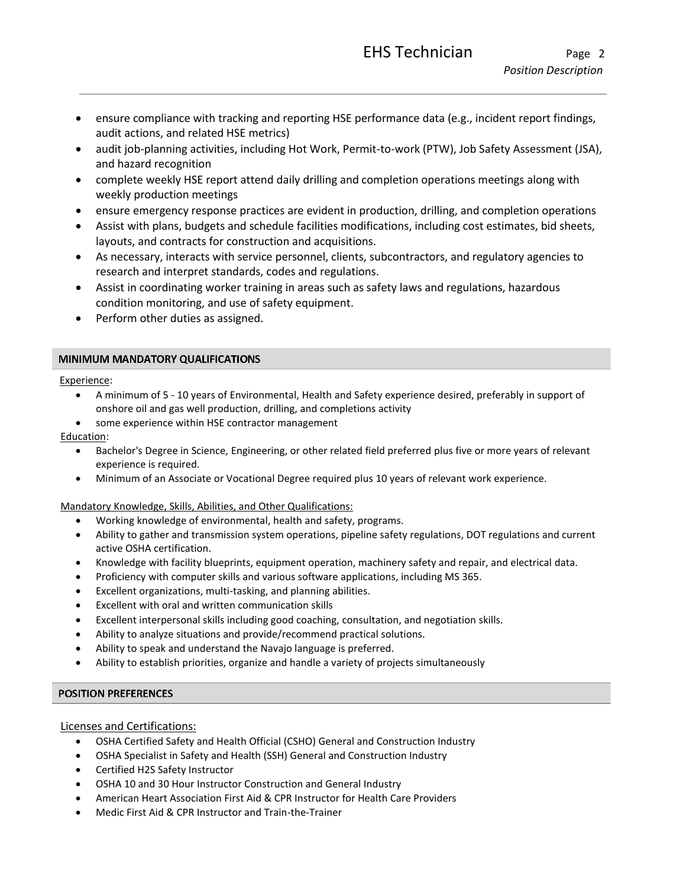- ensure compliance with tracking and reporting HSE performance data (e.g., incident report findings, audit actions, and related HSE metrics)
- audit job-planning activities, including Hot Work, Permit-to-work (PTW), Job Safety Assessment (JSA), and hazard recognition
- complete weekly HSE report attend daily drilling and completion operations meetings along with weekly production meetings
- ensure emergency response practices are evident in production, drilling, and completion operations
- Assist with plans, budgets and schedule facilities modifications, including cost estimates, bid sheets, layouts, and contracts for construction and acquisitions.
- As necessary, interacts with service personnel, clients, subcontractors, and regulatory agencies to research and interpret standards, codes and regulations.
- Assist in coordinating worker training in areas such as safety laws and regulations, hazardous condition monitoring, and use of safety equipment.
- Perform other duties as assigned.

# MINIMUM MANDATORY QUALIFICATIONS

# Experience:

- A minimum of 5 10 years of Environmental, Health and Safety experience desired, preferably in support of onshore oil and gas well production, drilling, and completions activity
- some experience within HSE contractor management

# Education:

- Bachelor's Degree in Science, Engineering, or other related field preferred plus five or more years of relevant experience is required.
- Minimum of an Associate or Vocational Degree required plus 10 years of relevant work experience.

# Mandatory Knowledge, Skills, Abilities, and Other Qualifications:

- Working knowledge of environmental, health and safety, programs.
- Ability to gather and transmission system operations, pipeline safety regulations, DOT regulations and current active OSHA certification.
- Knowledge with facility blueprints, equipment operation, machinery safety and repair, and electrical data.
- Proficiency with computer skills and various software applications, including MS 365.
- Excellent organizations, multi-tasking, and planning abilities.
- Excellent with oral and written communication skills
- Excellent interpersonal skills including good coaching, consultation, and negotiation skills.
- Ability to analyze situations and provide/recommend practical solutions.
- Ability to speak and understand the Navajo language is preferred.
- Ability to establish priorities, organize and handle a variety of projects simultaneously

# **POSITION PREFERENCES**

# Licenses and Certifications:

- OSHA Certified Safety and Health Official (CSHO) General and Construction Industry
- OSHA Specialist in Safety and Health (SSH) General and Construction Industry
- Certified H2S Safety Instructor
- OSHA 10 and 30 Hour Instructor Construction and General Industry
- American Heart Association First Aid & CPR Instructor for Health Care Providers
- Medic First Aid & CPR Instructor and Train-the-Trainer